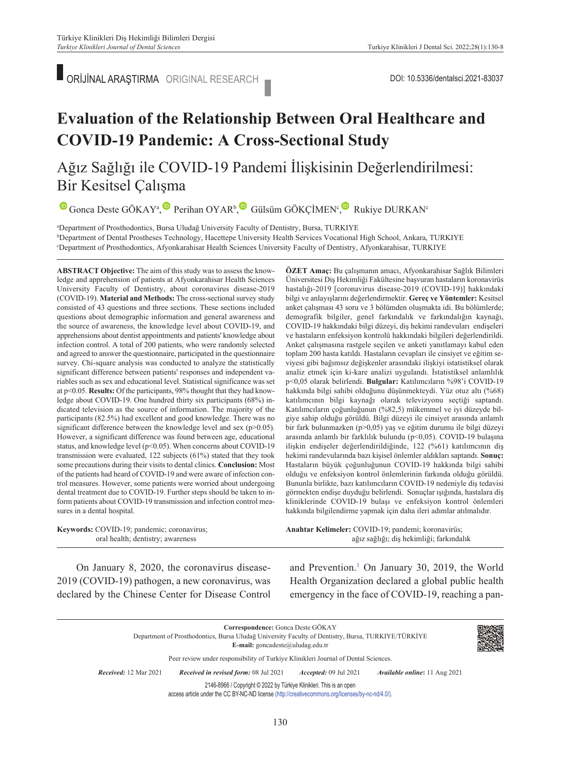■ ORİJİNAL ARAŞTIRMA ORIGINAL RESEARCH ■ CONSTRUCT DOI: 10.5336/dentalsci.2021-83037

# **Evaluation of the Relationship Between Oral Healthcare and COVID-19 Pandemic: A Cross-Sectional Study**

## Ağız Sağlığı ile COVID-19 Pandemi İlişkisinin Değerlendirilmesi: Bir Kesitsel Çalışma

GoncaDeste GÖKAY<sup>a</sup>[,](https://orcid.org/0000-0002-3381-4073) Perihan OYAR<sup>b</sup>, Gülsüm GÖKÇİMEN<sup>c</sup>, Rukiye DURKAN<sup>c</sup>

a Department of Prosthodontics, Bursa Uludağ University Faculty of Dentistry, Bursa, TURKIYE b <sup>b</sup>Department of Dental Prostheses Technology, Hacettepe University Health Services Vocational High School, Ankara, TURKIYE c Department of Prosthodontics, Afyonkarahisar Health Sciences University Faculty of Dentistry, Afyonkarahisar, TURKIYE

**ABS TRACT Objective:** The aim of this study was to assess the knowledge and apprehension of patients at Afyonkarahisar Health Sciences University Faculty of Dentistry, about coronavirus disease-2019 (COVID-19). **Material and Methods:** The cross-sectional survey study consisted of 43 questions and three sections. These sections included questions about demographic information and general awareness and the source of awareness, the knowledge level about COVID-19, and apprehensions about dentist appointments and patients' knowledge about infection control. A total of 200 patients, who were randomly selected and agreed to answer the questionnaire, participated in the questionnaire survey. Chi-square analysis was conducted to analyze the statistically significant difference between patients' responses and independent variables such as sex and educational level. Statistical significance was set at p<0.05. **Results:** Of the participants, 98% thought that they had knowledge about COVID-19. One hundred thirty six participants (68%) indicated television as the source of information. The majority of the participants (82.5%) had excellent and good knowledge. There was no significant difference between the knowledge level and sex (p>0.05). However, a significant difference was found between age, educational status, and knowledge level (p<0.05). When concerns about COVID-19 transmission were evaluated, 122 subjects (61%) stated that they took some precautions during their visits to dental clinics. **Conclusion:** Most of the patients had heard of COVID-19 and were aware of infection control measures. However, some patients were worried about undergoing dental treatment due to COVID-19. Further steps should be taken to inform patients about COVID-19 transmission and infection control measures in a dental hospital.

**Keywords:** COVID-19; pandemic; coronavirus; oral health; dentistry; awareness

**ÖZET Amaç:** Bu çalışmanın amacı, Afyonkarahisar Sağlık Bilimleri Üniversitesi Diş Hekimliği Fakültesine başvuran hastaların koronavirüs hastalığı-2019 [coronavirus disease-2019 (COVID-19)] hakkındaki bilgi ve anlayışlarını değerlendirmektir. **Gereç ve Yöntemler:** Kesitsel anket çalışması 43 soru ve 3 bölümden oluşmakta idi. Bu bölümlerde; demografik bilgiler, genel farkındalık ve farkındalığın kaynağı, COVID-19 hakkındaki bilgi düzeyi, diş hekimi randevuları endişeleri ve hastaların enfeksiyon kontrolü hakkındaki bilgileri değerlendirildi. Anket çalışmasına rastgele seçilen ve anketi yanıtlamayı kabul eden toplam 200 hasta katıldı. Hastaların cevapları ile cinsiyet ve eğitim seviyesi gibi bağımsız değişkenler arasındaki ilişkiyi istatistiksel olarak analiz etmek için ki-kare analizi uygulandı. İstatistiksel anlamlılık p<0,05 olarak belirlendi. **Bulgular:** Katılımcıların %98'i COVID-19 hakkında bilgi sahibi olduğunu düşünmekteydi. Yüz otuz altı (%68) katılımcının bilgi kaynağı olarak televizyonu seçtiği saptandı. Katılımcıların çoğunluğunun (%82,5) mükemmel ve iyi düzeyde bilgiye sahip olduğu görüldü. Bilgi düzeyi ile cinsiyet arasında anlamlı bir fark bulunmazken (p>0,05) yaş ve eğitim durumu ile bilgi düzeyi arasında anlamlı bir farklılık bulundu (p<0,05). COVID-19 bulaşına ilişkin endişeler değerlendirildiğinde, 122 (%61) katılımcının diş hekimi randevularında bazı kişisel önlemler aldıkları saptandı. **Sonuç:**  Hastaların büyük çoğunluğunun COVID-19 hakkında bilgi sahibi olduğu ve enfeksiyon kontrol önlemlerinin farkında olduğu görüldü. Bununla birlikte, bazı katılımcıların COVID-19 nedeniyle diş tedavisi görmekten endişe duyduğu belirlendi. Sonuçlar ışığında, hastalara diş kliniklerinde COVID-19 bulaşı ve enfeksiyon kontrol önlemleri hakkında bilgilendirme yapmak için daha ileri adımlar atılmalıdır.

Anahtar Kelimeler: COVID-19; pandemi; koronavirüs; ağız sağlığı; diş hekimliği; farkındalık

On January 8, 2020, the coronavirus disease-2019 (COVID-19) pathogen, a new coronavirus, was declared by the Chinese Center for Disease Control

and Prevention.<sup>1</sup> On January 30, 2019, the World Health Organization declared a global public health emergency in the face of COVID-19, reaching a pan-

**Correspondence:** Gonca Deste GÖKAY Department of Prosthodontics, Bursa Uludağ University Faculty of Dentistry, Bursa, TURKIYE/TÜRKİYE **E-mail:** goncadeste@uludag.edu.tr Peer review under responsibility of Turkiye Klinikleri Journal of Dental Sciences. *Re ce i ved:* 12 Mar 2021 *Received in revised form:* 08 Jul 2021 *Ac cep ted:* 09 Jul 2021 *Available online***:** 11 Aug 2021 2146-8966 / Copyright © 2022 by Türkiye Klinikleri. This is an open access article under the CC BY-NC-ND license [\(http://creativecommons.org/licenses/by-nc-nd/4.0/\)](https://creativecommons.org/licenses/by-nc-nd/4.0/).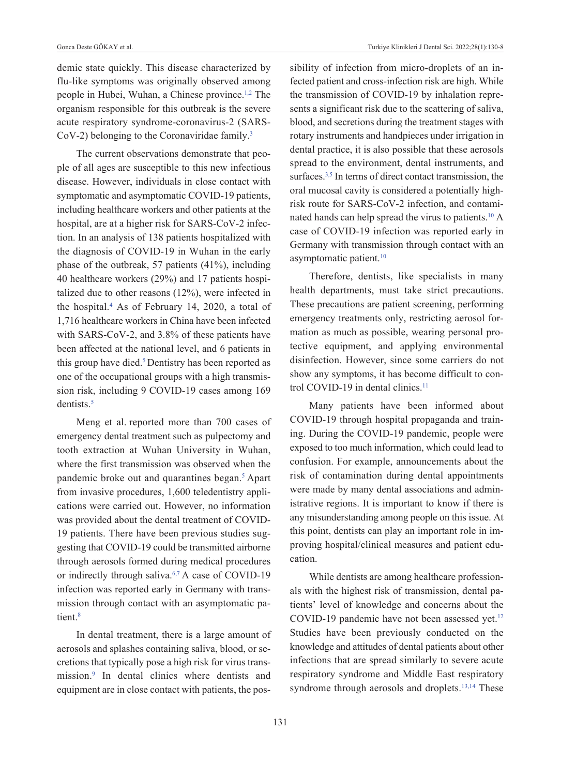demic state quickly. This disease characterized by flu-like symptoms was originally observed among people in Hubei, Wuhan, a Chinese province[.1,2](#page-8-0) The organism responsible for this outbreak is the severe acute respiratory syndrome-coronavirus-2 (SARS- $CoV-2$ ) belonging to the Coronaviridae family.<sup>3</sup>

The current observations demonstrate that people of all ages are susceptible to this new infectious disease. However, individuals in close contact with symptomatic and asymptomatic COVID-19 patients, including healthcare workers and other patients at the hospital, are at a higher risk for SARS-CoV-2 infection. In an analysis of 138 patients hospitalized with the diagnosis of COVID-19 in Wuhan in the early phase of the outbreak, 57 patients (41%), including 40 healthcare workers (29%) and 17 patients hospitalized due to other reasons (12%), were infected in the hospital[.4](#page-8-0) As of February 14, 2020, a total of 1,716 healthcare workers in China have been infected with SARS-CoV-2, and 3.8% of these patients have been affected at the national level, and 6 patients in this group have died.<sup>5</sup> Dentistry has been reported as one of the occupational groups with a high transmission risk, including 9 COVID-19 cases among 169 dentists[.5](#page-8-0)

Meng et al. reported more than 700 cases of emergency dental treatment such as pulpectomy and tooth extraction at Wuhan University in Wuhan, where the first transmission was observed when the pandemic broke out and quarantines began.<sup>5</sup> Apart from invasive procedures, 1,600 teledentistry applications were carried out. However, no information was provided about the dental treatment of COVID-19 patients. There have been previous studies suggesting that COVID-19 could be transmitted airborne through aerosols formed during medical procedures or indirectly through saliva[.6,7](#page-8-0) A case of COVID-19 infection was reported early in Germany with transmission through contact with an asymptomatic patient.<sup>8</sup>

In dental treatment, there is a large amount of aerosols and splashes containing saliva, blood, or secretions that typically pose a high risk for virus transmission[.9](#page-8-0) In dental clinics where dentists and equipment are in close contact with patients, the possibility of infection from micro-droplets of an infected patient and cross-infection risk are high. While the transmission of COVID-19 by inhalation represents a significant risk due to the scattering of saliva, blood, and secretions during the treatment stages with rotary instruments and handpieces under irrigation in dental practice, it is also possible that these aerosols spread to the environment, dental instruments, and surfaces.<sup>3,5</sup> In terms of direct contact transmission, the oral mucosal cavity is considered a potentially highrisk route for SARS-CoV-2 infection, and contaminated hands can help spread the virus to patients.<sup>10</sup> A case of COVID-19 infection was reported early in Germany with transmission through contact with an asymptomatic patient.<sup>10</sup>

Therefore, dentists, like specialists in many health departments, must take strict precautions. These precautions are patient screening, performing emergency treatments only, restricting aerosol formation as much as possible, wearing personal protective equipment, and applying environmental disinfection. However, since some carriers do not show any symptoms, it has become difficult to control COVID-19 in dental clinics.<sup>11</sup>

Many patients have been informed about COVID-19 through hospital propaganda and training. During the COVID-19 pandemic, people were exposed to too much information, which could lead to confusion. For example, announcements about the risk of contamination during dental appointments were made by many dental associations and administrative regions. It is important to know if there is any misunderstanding among people on this issue. At this point, dentists can play an important role in improving hospital/clinical measures and patient education.

While dentists are among healthcare professionals with the highest risk of transmission, dental patients' level of knowledge and concerns about the COVID-19 pandemic have not been assessed yet.<sup>12</sup> Studies have been previously conducted on the knowledge and attitudes of dental patients about other infections that are spread similarly to severe acute respiratory syndrome and Middle East respiratory syndrome through aerosols and droplets.<sup>13,14</sup> These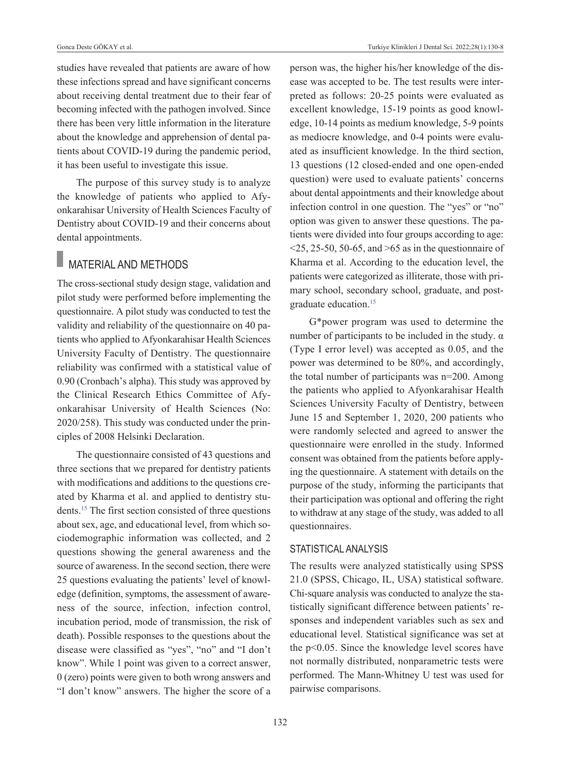studies have revealed that patients are aware of how these infections spread and have significant concerns about receiving dental treatment due to their fear of becoming infected with the pathogen involved. Since there has been very little information in the literature about the knowledge and apprehension of dental patients about COVID-19 during the pandemic period, it has been useful to investigate this issue.

The purpose of this survey study is to analyze the knowledge of patients who applied to Afyonkarahisar University of Health Sciences Faculty of Dentistry about COVID-19 and their concerns about dental appointments.

### **MATERIAL AND METHODS**

The cross-sectional study design stage, validation and pilot study were performed before implementing the questionnaire. A pilot study was conducted to test the validity and reliability of the questionnaire on 40 patients who applied to Afyonkarahisar Health Sciences University Faculty of Dentistry. The questionnaire reliability was confirmed with a statistical value of 0.90 (Cronbach's alpha). This study was approved by the Clinical Research Ethics Committee of Afyonkarahisar University of Health Sciences (No: 2020/258). This study was conducted under the principles of 2008 Helsinki Declaration.

The questionnaire consisted of 43 questions and three sections that we prepared for dentistry patients with modifications and additions to the questions created by Kharma et al. and applied to dentistry students[.1](#page-8-0)5 [T](#page-8-0)he first section consisted of three questions about sex, age, and educational level, from which sociodemographic information was collected, and 2 questions showing the general awareness and the source of awareness. In the second section, there were 25 questions evaluating the patients' level of knowledge (definition, symptoms, the assessment of awareness of the source, infection, infection control, incubation period, mode of transmission, the risk of death). Possible responses to the questions about the disease were classified as "yes", "no" and "I don't know". While 1 point was given to a correct answer, 0 (zero) points were given to both wrong answers and "I don't know" answers. The higher the score of a person was, the higher his/her knowledge of the disease was accepted to be. The test results were interpreted as follows: 20-25 points were evaluated as excellent knowledge, 15-19 points as good knowledge, 10-14 points as medium knowledge, 5-9 points as mediocre knowledge, and 0-4 points were evaluated as insufficient knowledge. In the third section, 13 questions (12 closed-ended and one open-ended question) were used to evaluate patients' concerns about dental appointments and their knowledge about infection control in one question. The "yes" or "no" option was given to answer these questions. The patients were divided into four groups according to age:  $\leq$ 25, 25-50, 50-65, and  $\geq$ 65 as in the questionnaire of Kharma et al. According to the education level, the patients were categorized as illiterate, those with primary school, secondary school, graduate, and postgraduate education[.15](#page-8-0)

G\*power program was used to determine the number of participants to be included in the study.  $α$ (Type I error level) was accepted as 0.05, and the power was determined to be 80%, and accordingly, the total number of participants was n=200. Among the patients who applied to Afyonkarahisar Health Sciences University Faculty of Dentistry, between June 15 and September 1, 2020, 200 patients who were randomly selected and agreed to answer the questionnaire were enrolled in the study. Informed consent was obtained from the patients before applying the questionnaire. A statement with details on the purpose of the study, informing the participants that their participation was optional and offering the right to withdraw at any stage of the study, was added to all questionnaires.

#### STATISTICAL ANALYSIS

The results were analyzed statistically using SPSS 21.0 (SPSS, Chicago, IL, USA) statistical software. Chi-square analysis was conducted to analyze the statistically significant difference between patients' responses and independent variables such as sex and educational level. Statistical significance was set at the p<0.05. Since the knowledge level scores have not normally distributed, nonparametric tests were performed. The Mann-Whitney U test was used for pairwise comparisons.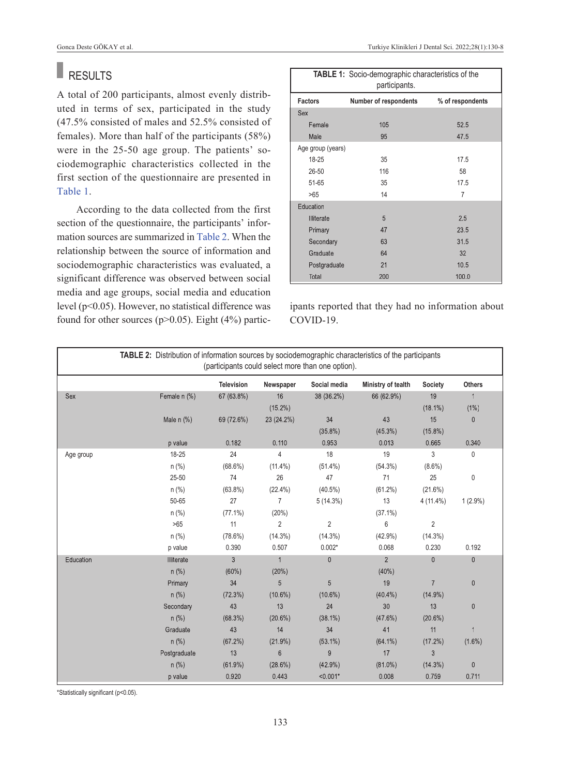#### П RESULTS

A total of 200 participants, almost evenly distributed in terms of sex, participated in the study (47.5% consisted of males and 52.5% consisted of females). More than half of the participants (58%) were in the 25-50 age group. The patients' sociodemographic characteristics collected in the first section of the questionnaire are presented in [Table 1.](#page-3-0)

According to the data collected from the first section of the questionnaire, the participants' information sources are summarized in [Table 2.](#page-8-0) When the relationship between the source of information and sociodemographic characteristics was evaluated, a significant difference was observed between social media and age groups, social media and education level (p<0.05). However, no statistical difference was found for other sources ( $p$ >0.05). Eight (4%) partic-

<span id="page-3-0"></span>

| TABLE 1: Socio-demographic characteristics of the<br>participants. |                       |                  |  |
|--------------------------------------------------------------------|-----------------------|------------------|--|
| <b>Factors</b>                                                     | Number of respondents | % of respondents |  |
| <b>Sex</b>                                                         |                       |                  |  |
| Female                                                             | 105                   | 52.5             |  |
| Male                                                               | 95                    | 47.5             |  |
| Age group (years)                                                  |                       |                  |  |
| 18-25                                                              | 35                    | 17.5             |  |
| 26-50                                                              | 116                   | 58               |  |
| 51-65                                                              | 35                    | 17.5             |  |
| >65                                                                | 14                    | 7                |  |
| Education                                                          |                       |                  |  |
| Illiterate                                                         | 5                     | 2.5              |  |
| Primary                                                            | 47                    | 23.5             |  |
| Secondary                                                          | 63                    | 31.5             |  |
| Graduate                                                           | 64                    | 32               |  |
| Postgraduate                                                       | 21                    | 10.5             |  |
| Total                                                              | 200                   | 100.0            |  |

ipants reported that they had no information about COVID-19.

|           | TABLE 2: Distribution of information sources by sociodemographic characteristics of the participants |                   |                | (participants could select more than one option). |                    |                |                |
|-----------|------------------------------------------------------------------------------------------------------|-------------------|----------------|---------------------------------------------------|--------------------|----------------|----------------|
|           |                                                                                                      | <b>Television</b> | Newspaper      | Social media                                      | Ministry of tealth | Society        | <b>Others</b>  |
| Sex       | Female n (%)                                                                                         | 67 (63.8%)        | 16             | 38 (36.2%)                                        | 66 (62.9%)         | 19             | $\mathbf{1}$   |
|           |                                                                                                      |                   | $(15.2\%)$     |                                                   |                    | $(18.1\%)$     | $(1\%)$        |
|           | Male $n$ $%$                                                                                         | 69 (72.6%)        | 23 (24.2%)     | 34                                                | 43                 | 15             | $\mathbf{0}$   |
|           |                                                                                                      |                   |                | $(35.8\%)$                                        | $(45.3\%)$         | $(15.8\%)$     |                |
|           | p value                                                                                              | 0.182             | 0.110          | 0.953                                             | 0.013              | 0.665          | 0.340          |
| Age group | 18-25                                                                                                | 24                | 4              | 18                                                | 19                 | 3              | 0              |
|           | $n$ (%)                                                                                              | $(68.6\%)$        | $(11.4\%)$     | $(51.4\%)$                                        | $(54.3\%)$         | $(8.6\%)$      |                |
|           | 25-50                                                                                                | 74                | 26             | 47                                                | 71                 | 25             | 0              |
|           | $n$ (%)                                                                                              | $(63.8\%)$        | $(22.4\%)$     | $(40.5\%)$                                        | $(61.2\%)$         | $(21.6\%)$     |                |
|           | 50-65                                                                                                | 27                | $\overline{7}$ | $5(14.3\%)$                                       | 13                 | $4(11.4\%)$    | $1(2.9\%)$     |
|           | $n$ (%)                                                                                              | $(77.1\%)$        | (20%)          |                                                   | $(37.1\%)$         |                |                |
|           | $>65$                                                                                                | 11                | $\overline{2}$ | $\overline{2}$                                    | 6                  | $\overline{2}$ |                |
|           | $n$ (%)                                                                                              | $(78.6\%)$        | $(14.3\%)$     | $(14.3\%)$                                        | $(42.9\%)$         | $(14.3\%)$     |                |
|           | p value                                                                                              | 0.390             | 0.507          | $0.002*$                                          | 0.068              | 0.230          | 0.192          |
| Education | <b>Illiterate</b>                                                                                    | 3                 | $\mathbf{1}$   | $\mathbf{0}$                                      | $\overline{2}$     | $\mathbf{0}$   | 0              |
|           | $n$ (%)                                                                                              | (60%)             | (20%)          |                                                   | (40%)              |                |                |
|           | Primary                                                                                              | 34                | 5              | 5                                                 | 19                 | $\overline{7}$ | $\mathbf{0}$   |
|           | $n$ (%)                                                                                              | (72.3%)           | $(10.6\%)$     | $(10.6\%)$                                        | $(40.4\%)$         | $(14.9\%)$     |                |
|           | Secondary                                                                                            | 43                | 13             | 24                                                | 30                 | 13             | $\mathbf{0}$   |
|           | $n$ (%)                                                                                              | $(68.3\%)$        | $(20.6\%)$     | $(38.1\%)$                                        | $(47.6\%)$         | $(20.6\%)$     |                |
|           | Graduate                                                                                             | 43                | 14             | 34                                                | 41                 | 11             | $\mathbf{1}$   |
|           | $n$ (%)                                                                                              | (67.2%)           | $(21.9\%)$     | $(53.1\%)$                                        | $(64.1\%)$         | $(17.2\%)$     | $(1.6\%)$      |
|           | Postgraduate                                                                                         | 13                | $6\phantom{1}$ | 9                                                 | 17                 | 3              |                |
|           | $n$ (%)                                                                                              | $(61.9\%)$        | $(28.6\%)$     | $(42.9\%)$                                        | $(81.0\%)$         | $(14.3\%)$     | $\overline{0}$ |
|           | p value                                                                                              | 0.920             | 0.443          | $< 0.001*$                                        | 0.008              | 0.759          | 0.711          |

\*Statistically significant (p<0.05).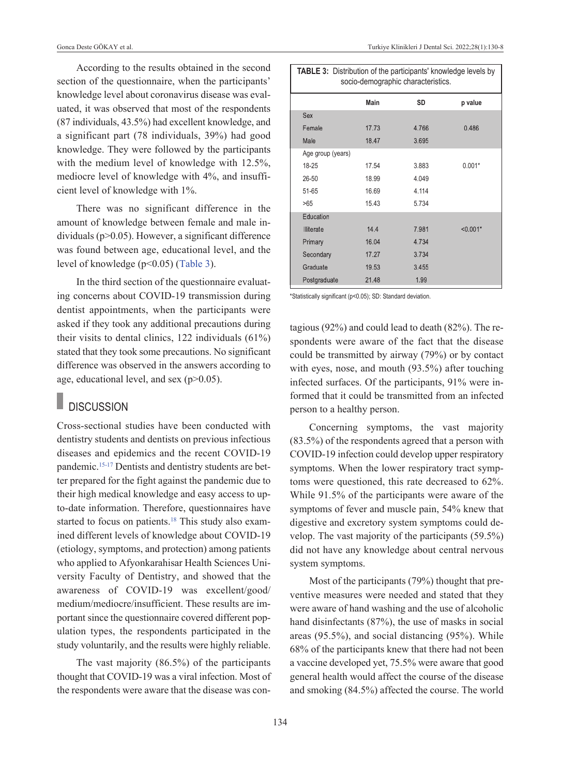According to the results obtained in the second section of the questionnaire, when the participants' knowledge level about coronavirus disease was evaluated, it was observed that most of the respondents (87 individuals, 43.5%) had excellent knowledge, and a significant part (78 individuals, 39%) had good knowledge. They were followed by the participants with the medium level of knowledge with 12.5%, mediocre level of knowledge with 4%, and insufficient level of knowledge with 1%.

There was no significant difference in the amount of knowledge between female and male individuals (p>0.05). However, a significant difference was found between age, educational level, and the level of knowledge (p<0.05) [\(Table 3\)](#page-4-0).

In the third section of the questionnaire evaluating concerns about COVID-19 transmission during dentist appointments, when the participants were asked if they took any additional precautions during their visits to dental clinics, 122 individuals (61%) stated that they took some precautions. No significant difference was observed in the answers according to age, educational level, and sex (p>0.05).

### **DISCUSSION**

Cross-sectional studies have been conducted with dentistry students and dentists on previous infectious diseases and epidemics and the recent COVID-19 pandemic[.15-17](#page-8-0) Dentists and dentistry students are better prepared for the fight against the pandemic due to their high medical knowledge and easy access to upto-date information. Therefore, questionnaires have started to focus on patients.<sup>18</sup> This study also examined different levels of knowledge about COVID-19 (etiology, symptoms, and protection) among patients who applied to Afyonkarahisar Health Sciences University Faculty of Dentistry, and showed that the awareness of COVID-19 was excellent/good/ medium/mediocre/insufficient. These results are important since the questionnaire covered different population types, the respondents participated in the study voluntarily, and the results were highly reliable.

The vast majority (86.5%) of the participants thought that COVID-19 was a viral infection. Most of the respondents were aware that the disease was con-

<span id="page-4-0"></span>

| <b>TABLE 3:</b> Distribution of the participants' knowledge levels by<br>socio-demographic characteristics. |             |           |            |
|-------------------------------------------------------------------------------------------------------------|-------------|-----------|------------|
|                                                                                                             | <b>Main</b> | <b>SD</b> | p value    |
| Sex                                                                                                         |             |           |            |
| Female                                                                                                      | 17.73       | 4.766     | 0.486      |
| Male                                                                                                        | 18.47       | 3.695     |            |
| Age group (years)                                                                                           |             |           |            |
| 18-25                                                                                                       | 17.54       | 3.883     | $0.001*$   |
| 26-50                                                                                                       | 18.99       | 4.049     |            |
| $51 - 65$                                                                                                   | 16.69       | 4.114     |            |
| >65                                                                                                         | 15.43       | 5.734     |            |
| Education                                                                                                   |             |           |            |
| <b>Illiterate</b>                                                                                           | 14.4        | 7.981     | $< 0.001*$ |
| Primary                                                                                                     | 16.04       | 4.734     |            |
| Secondary                                                                                                   | 17.27       | 3.734     |            |
| Graduate                                                                                                    | 19.53       | 3.455     |            |
| Postgraduate                                                                                                | 21.48       | 1.99      |            |

\*Statistically significant (p<0.05); SD: Standard deviation.

tagious (92%) and could lead to death (82%). The respondents were aware of the fact that the disease could be transmitted by airway (79%) or by contact with eyes, nose, and mouth (93.5%) after touching infected surfaces. Of the participants, 91% were informed that it could be transmitted from an infected person to a healthy person.

Concerning symptoms, the vast majority (83.5%) of the respondents agreed that a person with COVID-19 infection could develop upper respiratory symptoms. When the lower respiratory tract symptoms were questioned, this rate decreased to 62%. While 91.5% of the participants were aware of the symptoms of fever and muscle pain, 54% knew that digestive and excretory system symptoms could develop. The vast majority of the participants (59.5%) did not have any knowledge about central nervous system symptoms.

Most of the participants (79%) thought that preventive measures were needed and stated that they were aware of hand washing and the use of alcoholic hand disinfectants (87%), the use of masks in social areas (95.5%), and social distancing (95%). While 68% of the participants knew that there had not been a vaccine developed yet, 75.5% were aware that good general health would affect the course of the disease and smoking (84.5%) affected the course. The world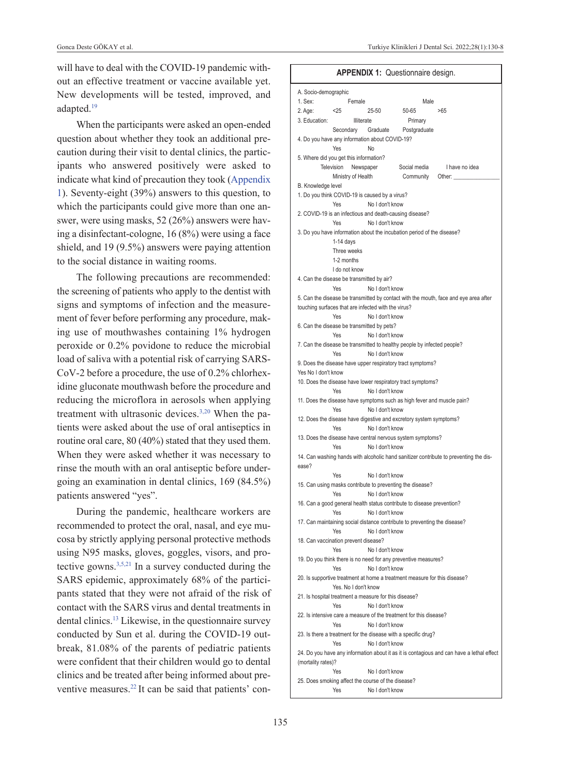will have to deal with the COVID-19 pandemic without an effective treatment or vaccine available yet. New developments will be tested, improved, and adapted[.19](#page-8-0)

When the participants were asked an open-ended question about whether they took an additional precaution during their visit to dental clinics, the participants who answered positively were asked to indicate what kind of precaution they took [\(Appendix](#page-5-0)  [1\)](#page-5-0). Seventy-eight (39%) answers to this question, to which the participants could give more than one answer, were using masks, 52 (26%) answers were having a disinfectant-cologne, 16 (8%) were using a face shield, and 19 (9.5%) answers were paying attention to the social distance in waiting rooms.

The following precautions are recommended: the screening of patients who apply to the dentist with signs and symptoms of infection and the measurement of fever before performing any procedure, making use of mouthwashes containing 1% hydrogen peroxide or 0.2% povidone to reduce the microbial load of saliva with a potential risk of carrying SARS-CoV-2 before a procedure, the use of 0.2% chlorhexidine gluconate mouthwash before the procedure and reducing the microflora in aerosols when applying treatment with ultrasonic devices.<sup>3,20</sup> When the patients were asked about the use of oral antiseptics in routine oral care, 80 (40%) stated that they used them. When they were asked whether it was necessary to rinse the mouth with an oral antiseptic before undergoing an examination in dental clinics, 169 (84.5%) patients answered "yes".

During the pandemic, healthcare workers are recommended to protect the oral, nasal, and eye mucosa by strictly applying personal protective methods using N95 masks, gloves, goggles, visors, and protective gowns[.3,5,21](#page-8-0) In a survey conducted during the SARS epidemic, approximately 68% of the participants stated that they were not afraid of the risk of contact with the SARS virus and dental treatments in dental clinics[.13](#page-8-0) Likewise, in the questionnaire survey conducted by Sun et al. during the COVID-19 outbreak, 81.08% of the parents of pediatric patients were confident that their children would go to dental clinics and be treated after being informed about preventive measures.<sup>22</sup> It can be said that patients' con-

#### <span id="page-5-0"></span>**APPENDIX 1:** Questionnaire design.

| A. Socio-demographic |                                                              |                 |                                                                           |                                                                                           |
|----------------------|--------------------------------------------------------------|-----------------|---------------------------------------------------------------------------|-------------------------------------------------------------------------------------------|
| 1. Sex:              | Female                                                       |                 | Male                                                                      |                                                                                           |
| 2. Age:              | < 25                                                         | $25 - 50$       | $50 - 65$                                                                 | >65                                                                                       |
| 3. Education:        | Illiterate                                                   |                 | Primary                                                                   |                                                                                           |
|                      | Secondary Graduate                                           |                 | Postgraduate                                                              |                                                                                           |
|                      | 4. Do you have any information about COVID-19?               |                 |                                                                           |                                                                                           |
|                      | Yes                                                          | No              |                                                                           |                                                                                           |
|                      | 5. Where did you get this information?                       |                 |                                                                           |                                                                                           |
|                      | Television<br>Newspaper                                      |                 | Social media                                                              | I have no idea                                                                            |
|                      | Ministry of Health                                           |                 | Community                                                                 | Other:                                                                                    |
| B. Knowledge level   |                                                              |                 |                                                                           |                                                                                           |
|                      | 1. Do you think COVID-19 is caused by a virus?               |                 |                                                                           |                                                                                           |
|                      | Yes                                                          | No I don't know |                                                                           |                                                                                           |
|                      | 2. COVID-19 is an infectious and death-causing disease?      |                 |                                                                           |                                                                                           |
|                      | Yes                                                          | No I don't know |                                                                           |                                                                                           |
|                      |                                                              |                 | 3. Do you have information about the incubation period of the disease?    |                                                                                           |
|                      |                                                              |                 |                                                                           |                                                                                           |
|                      | $1-14$ days                                                  |                 |                                                                           |                                                                                           |
|                      | Three weeks                                                  |                 |                                                                           |                                                                                           |
|                      | 1-2 months                                                   |                 |                                                                           |                                                                                           |
|                      | I do not know                                                |                 |                                                                           |                                                                                           |
|                      | 4. Can the disease be transmitted by air?                    |                 |                                                                           |                                                                                           |
|                      | Yes                                                          | No I don't know |                                                                           |                                                                                           |
|                      |                                                              |                 |                                                                           | 5. Can the disease be transmitted by contact with the mouth, face and eye area after      |
|                      | touching surfaces that are infected with the virus?          |                 |                                                                           |                                                                                           |
|                      | Yes                                                          | No I don't know |                                                                           |                                                                                           |
|                      | 6. Can the disease be transmitted by pets?                   |                 |                                                                           |                                                                                           |
|                      | Yes                                                          | No I don't know |                                                                           |                                                                                           |
|                      |                                                              |                 | 7. Can the disease be transmitted to healthy people by infected people?   |                                                                                           |
|                      | Yes                                                          | No I don't know |                                                                           |                                                                                           |
|                      |                                                              |                 | 9. Does the disease have upper respiratory tract symptoms?                |                                                                                           |
| Yes No I don't know  |                                                              |                 |                                                                           |                                                                                           |
|                      |                                                              |                 | 10. Does the disease have lower respiratory tract symptoms?               |                                                                                           |
|                      | Yes                                                          | No I don't know |                                                                           |                                                                                           |
|                      |                                                              |                 |                                                                           | 11. Does the disease have symptoms such as high fever and muscle pain?                    |
|                      | Yes                                                          | No I don't know |                                                                           |                                                                                           |
|                      |                                                              |                 | 12. Does the disease have digestive and excretory system symptoms?        |                                                                                           |
|                      | Yes                                                          | No I don't know |                                                                           |                                                                                           |
|                      |                                                              |                 | 13. Does the disease have central nervous system symptoms?                |                                                                                           |
|                      | Yes                                                          | No I don't know |                                                                           |                                                                                           |
|                      |                                                              |                 |                                                                           | 14. Can washing hands with alcoholic hand sanitizer contribute to preventing the dis-     |
| ease?                |                                                              |                 |                                                                           |                                                                                           |
|                      | Yes                                                          | No I don't know |                                                                           |                                                                                           |
|                      |                                                              |                 | 15. Can using masks contribute to preventing the disease?                 |                                                                                           |
|                      | Yes                                                          | No I don't know |                                                                           |                                                                                           |
|                      |                                                              |                 | 16. Can a good general health status contribute to disease prevention?    |                                                                                           |
|                      | Yes                                                          | No I don't know |                                                                           |                                                                                           |
|                      |                                                              |                 | 17. Can maintaining social distance contribute to preventing the disease? |                                                                                           |
|                      | Yes                                                          | No I don't know |                                                                           |                                                                                           |
|                      | 18. Can vaccination prevent disease?                         |                 |                                                                           |                                                                                           |
|                      | Yes                                                          | No I don't know |                                                                           |                                                                                           |
|                      |                                                              |                 | 19. Do you think there is no need for any preventive measures?            |                                                                                           |
|                      | Yes                                                          | No I don't know |                                                                           |                                                                                           |
|                      |                                                              |                 | 20. Is supportive treatment at home a treatment measure for this disease? |                                                                                           |
|                      | Yes. No I don't know                                         |                 |                                                                           |                                                                                           |
|                      |                                                              |                 |                                                                           |                                                                                           |
|                      | 21. Is hospital treatment a measure for this disease?<br>Yes |                 |                                                                           |                                                                                           |
|                      |                                                              | No I don't know |                                                                           |                                                                                           |
|                      |                                                              |                 | 22. Is intensive care a measure of the treatment for this disease?        |                                                                                           |
|                      | Yes                                                          | No I don't know |                                                                           |                                                                                           |
|                      |                                                              |                 | 23. Is there a treatment for the disease with a specific drug?            |                                                                                           |
|                      | Yes                                                          | No I don't know |                                                                           |                                                                                           |
|                      |                                                              |                 |                                                                           | 24. Do you have any information about it as it is contagious and can have a lethal effect |
| (mortality rates)?   |                                                              |                 |                                                                           |                                                                                           |
|                      | Yes                                                          | No I don't know |                                                                           |                                                                                           |
|                      | 25. Does smoking affect the course of the disease?           |                 |                                                                           |                                                                                           |
|                      | Yes                                                          | No I don't know |                                                                           |                                                                                           |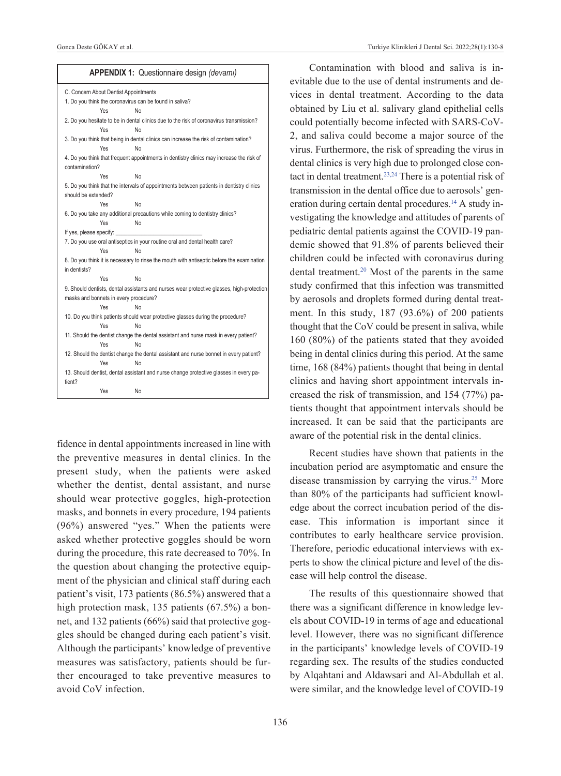|                         |     | APPENDIX 1: Questionnaire design (devami)                                                 |
|-------------------------|-----|-------------------------------------------------------------------------------------------|
|                         |     | C. Concern About Dentist Appointments                                                     |
|                         |     | 1. Do you think the coronavirus can be found in saliva?                                   |
|                         | Yes | No                                                                                        |
|                         |     | 2. Do you hesitate to be in dental clinics due to the risk of coronavirus transmission?   |
|                         | Yes | No                                                                                        |
|                         |     | 3. Do you think that being in dental clinics can increase the risk of contamination?      |
|                         | Yes | <b>No</b>                                                                                 |
| contamination?          |     | 4. Do you think that frequent appointments in dentistry clinics may increase the risk of  |
|                         | Yes | No                                                                                        |
|                         |     | 5. Do you think that the intervals of appointments between patients in dentistry clinics  |
| should be extended?     |     |                                                                                           |
|                         | Yes | No                                                                                        |
|                         |     | 6. Do you take any additional precautions while coming to dentistry clinics?              |
|                         | Yes | N <sub>o</sub>                                                                            |
| If yes, please specify: |     |                                                                                           |
|                         |     | 7. Do you use oral antiseptics in your routine oral and dental health care?               |
|                         | Yes | No                                                                                        |
|                         |     | 8. Do you think it is necessary to rinse the mouth with antiseptic before the examination |
| in dentists?            |     |                                                                                           |
|                         | Yes | <b>No</b>                                                                                 |
|                         |     | 9. Should dentists, dental assistants and nurses wear protective glasses, high-protection |
|                         |     | masks and bonnets in every procedure?                                                     |
|                         | Yes | No                                                                                        |
|                         |     | 10. Do you think patients should wear protective glasses during the procedure?            |
|                         | Yes | No                                                                                        |
|                         |     | 11. Should the dentist change the dental assistant and nurse mask in every patient?       |
|                         | Yes | <b>No</b>                                                                                 |
|                         |     | 12. Should the dentist change the dental assistant and nurse bonnet in every patient?     |
|                         | Yes | No                                                                                        |
| tient?                  |     | 13. Should dentist, dental assistant and nurse change protective glasses in every pa-     |
|                         | Yes | <b>No</b>                                                                                 |
|                         |     |                                                                                           |

fidence in dental appointments increased in line with the preventive measures in dental clinics. In the present study, when the patients were asked whether the dentist, dental assistant, and nurse should wear protective goggles, high-protection masks, and bonnets in every procedure, 194 patients (96%) answered "yes." When the patients were asked whether protective goggles should be worn during the procedure, this rate decreased to 70%. In the question about changing the protective equipment of the physician and clinical staff during each patient's visit, 173 patients (86.5%) answered that a high protection mask, 135 patients (67.5%) a bonnet, and 132 patients (66%) said that protective goggles should be changed during each patient's visit. Although the participants' knowledge of preventive measures was satisfactory, patients should be further encouraged to take preventive measures to avoid CoV infection.

Contamination with blood and saliva is inevitable due to the use of dental instruments and devices in dental treatment. According to the data obtained by Liu et al. salivary gland epithelial cells could potentially become infected with SARS-CoV-2, and saliva could become a major source of the virus. Furthermore, the risk of spreading the virus in dental clinics is very high due to prolonged close contact in dental treatment.<sup>23,24</sup> There is a potential risk of transmission in the dental office due to aerosols' generation during certain dental procedures.<sup>14</sup> A study investigating the knowledge and attitudes of parents of pediatric dental patients against the COVID-19 pandemic showed that 91.8% of parents believed their children could be infected with coronavirus during dental treatment[.20](#page-8-0) Most of the parents in the same study confirmed that this infection was transmitted by aerosols and droplets formed during dental treatment. In this study, 187 (93.6%) of 200 patients thought that the CoV could be present in saliva, while 160 (80%) of the patients stated that they avoided being in dental clinics during this period. At the same time, 168 (84%) patients thought that being in dental clinics and having short appointment intervals increased the risk of transmission, and 154 (77%) patients thought that appointment intervals should be increased. It can be said that the participants are aware of the potential risk in the dental clinics.

Recent studies have shown that patients in the incubation period are asymptomatic and ensure the disease transmission by carrying the virus.<sup>25</sup> More than 80% of the participants had sufficient knowledge about the correct incubation period of the disease. This information is important since it contributes to early healthcare service provision. Therefore, periodic educational interviews with experts to show the clinical picture and level of the disease will help control the disease.

The results of this questionnaire showed that there was a significant difference in knowledge levels about COVID-19 in terms of age and educational level. However, there was no significant difference in the participants' knowledge levels of COVID-19 regarding sex. The results of the studies conducted by Alqahtani and Aldawsari and Al-Abdullah et al. were similar, and the knowledge level of COVID-19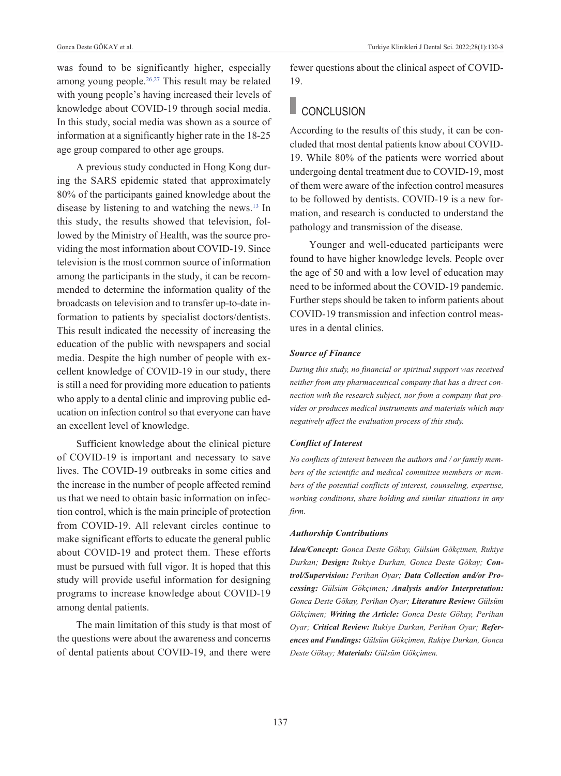was found to be significantly higher, especially among young people.<sup>26,27</sup> This result may be related with young people's having increased their levels of knowledge about COVID-19 through social media. In this study, social media was shown as a source of information at a significantly higher rate in the 18-25 age group compared to other age groups.

A previous study conducted in Hong Kong during the SARS epidemic stated that approximately 80% of the participants gained knowledge about the disease by listening to and watching the news[.13](#page-8-0) In this study, the results showed that television, followed by the Ministry of Health, was the source providing the most information about COVID-19. Since television is the most common source of information among the participants in the study, it can be recommended to determine the information quality of the broadcasts on television and to transfer up-to-date information to patients by specialist doctors/dentists. This result indicated the necessity of increasing the education of the public with newspapers and social media. Despite the high number of people with excellent knowledge of COVID-19 in our study, there is still a need for providing more education to patients who apply to a dental clinic and improving public education on infection control so that everyone can have an excellent level of knowledge.

Sufficient knowledge about the clinical picture of COVID-19 is important and necessary to save lives. The COVID-19 outbreaks in some cities and the increase in the number of people affected remind us that we need to obtain basic information on infection control, which is the main principle of protection from COVID-19. All relevant circles continue to make significant efforts to educate the general public about COVID-19 and protect them. These efforts must be pursued with full vigor. It is hoped that this study will provide useful information for designing programs to increase knowledge about COVID-19 among dental patients.

The main limitation of this study is that most of the questions were about the awareness and concerns of dental patients about COVID-19, and there were fewer questions about the clinical aspect of COVID-19.

# CONCLUSION

According to the results of this study, it can be concluded that most dental patients know about COVID-19. While 80% of the patients were worried about undergoing dental treatment due to COVID-19, most of them were aware of the infection control measures to be followed by dentists. COVID-19 is a new formation, and research is conducted to understand the pathology and transmission of the disease.

Younger and well-educated participants were found to have higher knowledge levels. People over the age of 50 and with a low level of education may need to be informed about the COVID-19 pandemic. Further steps should be taken to inform patients about COVID-19 transmission and infection control measures in a dental clinics.

#### *Source of Finance*

*During this study, no financial or spiritual support was received neither from any pharmaceutical company that has a direct connection with the research subject, nor from a company that provides or produces medical instruments and materials which may negatively affect the evaluation process of this study.* 

#### *Conflict of Interest*

*No conflicts of interest between the authors and / or family members of the scientific and medical committee members or members of the potential conflicts of interest, counseling, expertise, working conditions, share holding and similar situations in any firm.* 

#### *Authorship Contributions*

*Idea/Concept: Gonca Deste Gökay, Gülsüm Gökçimen, Rukiye Durkan; Design: Rukiye Durkan, Gonca Deste Gökay; Control/Supervision: Perihan Oyar; Data Collection and/or Processing: Gülsüm Gökçimen; Analysis and/or Interpretation: Gonca Deste Gökay, Perihan Oyar; Literature Review: Gülsüm Gökçimen; Writing the Article: Gonca Deste Gökay, Perihan Oyar; Critical Review: Rukiye Durkan, Perihan Oyar; References and Fundings: Gülsüm Gökçimen, Rukiye Durkan, Gonca Deste Gökay; Materials: Gülsüm Gökçimen.*